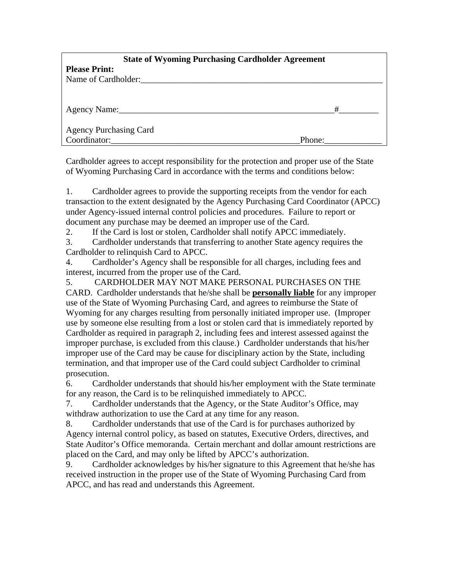| <b>State of Wyoming Purchasing Cardholder Agreement</b> |        |  |
|---------------------------------------------------------|--------|--|
| <b>Please Print:</b>                                    |        |  |
| Name of Cardholder:                                     |        |  |
|                                                         |        |  |
|                                                         |        |  |
| Agency Name:                                            | #      |  |
|                                                         |        |  |
| <b>Agency Purchasing Card</b>                           |        |  |
| Coordinator:                                            | Phone: |  |

Cardholder agrees to accept responsibility for the protection and proper use of the State of Wyoming Purchasing Card in accordance with the terms and conditions below:

1. Cardholder agrees to provide the supporting receipts from the vendor for each transaction to the extent designated by the Agency Purchasing Card Coordinator (APCC) under Agency-issued internal control policies and procedures. Failure to report or document any purchase may be deemed an improper use of the Card.

2. If the Card is lost or stolen, Cardholder shall notify APCC immediately.

3. Cardholder understands that transferring to another State agency requires the Cardholder to relinquish Card to APCC.

4. Cardholder's Agency shall be responsible for all charges, including fees and interest, incurred from the proper use of the Card.

5. CARDHOLDER MAY NOT MAKE PERSONAL PURCHASES ON THE CARD. Cardholder understands that he/she shall be **personally liable** for any improper use of the State of Wyoming Purchasing Card, and agrees to reimburse the State of Wyoming for any charges resulting from personally initiated improper use. (Improper use by someone else resulting from a lost or stolen card that is immediately reported by Cardholder as required in paragraph 2, including fees and interest assessed against the improper purchase, is excluded from this clause.) Cardholder understands that his/her improper use of the Card may be cause for disciplinary action by the State, including termination, and that improper use of the Card could subject Cardholder to criminal prosecution.

6. Cardholder understands that should his/her employment with the State terminate for any reason, the Card is to be relinquished immediately to APCC.

7. Cardholder understands that the Agency, or the State Auditor's Office, may withdraw authorization to use the Card at any time for any reason.

8. Cardholder understands that use of the Card is for purchases authorized by Agency internal control policy, as based on statutes, Executive Orders, directives, and State Auditor's Office memoranda. Certain merchant and dollar amount restrictions are placed on the Card, and may only be lifted by APCC's authorization.

9. Cardholder acknowledges by his/her signature to this Agreement that he/she has received instruction in the proper use of the State of Wyoming Purchasing Card from APCC, and has read and understands this Agreement.